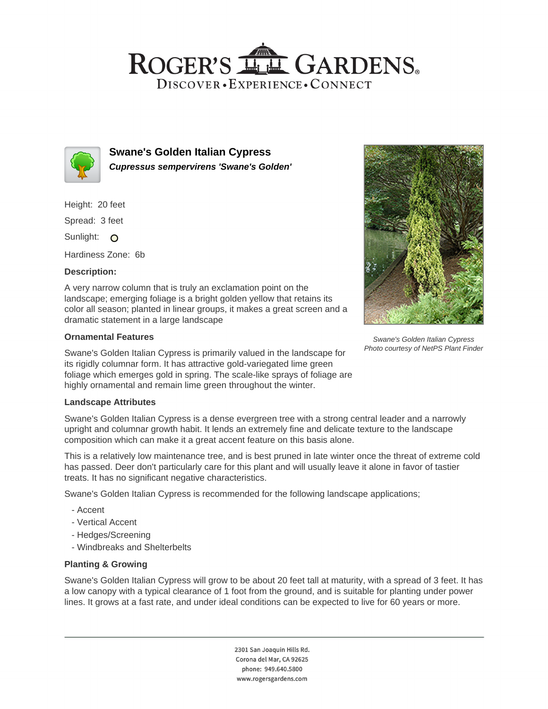# ROGER'S LL GARDENS. DISCOVER · EXPERIENCE · CONNECT



**Swane's Golden Italian Cypress Cupressus sempervirens 'Swane's Golden'**

Height: 20 feet

Spread: 3 feet

Sunlight: O

Hardiness Zone: 6b

### **Description:**

A very narrow column that is truly an exclamation point on the landscape; emerging foliage is a bright golden yellow that retains its color all season; planted in linear groups, it makes a great screen and a dramatic statement in a large landscape

### **Ornamental Features**

Swane's Golden Italian Cypress is primarily valued in the landscape for its rigidly columnar form. It has attractive gold-variegated lime green foliage which emerges gold in spring. The scale-like sprays of foliage are highly ornamental and remain lime green throughout the winter.

### **Landscape Attributes**

Swane's Golden Italian Cypress is a dense evergreen tree with a strong central leader and a narrowly upright and columnar growth habit. It lends an extremely fine and delicate texture to the landscape composition which can make it a great accent feature on this basis alone.

This is a relatively low maintenance tree, and is best pruned in late winter once the threat of extreme cold has passed. Deer don't particularly care for this plant and will usually leave it alone in favor of tastier treats. It has no significant negative characteristics.

Swane's Golden Italian Cypress is recommended for the following landscape applications;

- Accent
- Vertical Accent
- Hedges/Screening
- Windbreaks and Shelterbelts

## **Planting & Growing**

Swane's Golden Italian Cypress will grow to be about 20 feet tall at maturity, with a spread of 3 feet. It has a low canopy with a typical clearance of 1 foot from the ground, and is suitable for planting under power lines. It grows at a fast rate, and under ideal conditions can be expected to live for 60 years or more.

> 2301 San Joaquin Hills Rd. Corona del Mar, CA 92625 phone: 949.640.5800 www.rogersgardens.com



Swane's Golden Italian Cypress Photo courtesy of NetPS Plant Finder